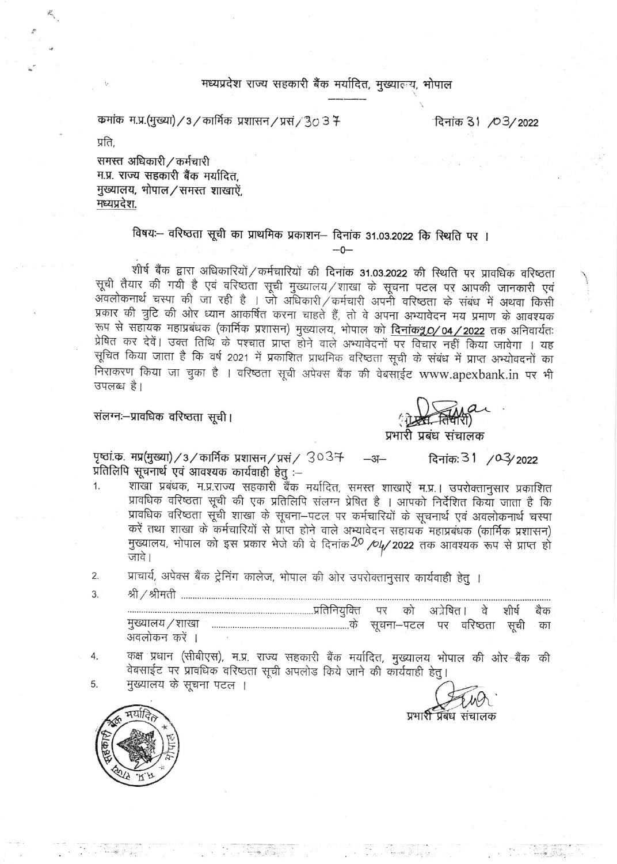#### मध्यप्रदेश राज्य सहकारी बैंक मर्यादित, मुख्यालय, भोपाल

कमांक म.प्र.(मुख्या) / 3 / कार्मिक प्रशासन / प्रसं / 30 3 7

दिनांक 31 / 03/2022

प्रति.

समस्त अधिकारी / कर्मचारी म.प्र. राज्य सहकारी बैंक मर्यादित. मुख्यालय, भोपाल/समस्त शाखाऐं, मध्यप्रदेश.

## विषयः-- वरिष्ठता सूची का प्राथमिक प्रकाशन-- दिनांक 31.03.2022 कि स्थिति पर ।

शीर्ष बैंक द्वारा अधिकारियों / कर्मचारियों की दिनांक 31.03.2022 की स्थिति पर प्रावधिक वरिष्ठता सूची तैयार की गयी है एवं वरिष्ठता सूची मुख्यालय / शाखा के सूचना पटल पर आपकी जानकारी एवं अवलोकनार्थ चस्पा की जा रही है । जो अधिकारी / कर्मचारी अपनी वरिष्ठता के संबंध में अथवा किसी प्रकार की त्रुटि की ओर ध्यान आकर्षित करना चाहते हैं, तो वे अपना अभ्यावेदन मय प्रमाण के आवश्यक रूप से सहायक महाप्रबंधक (कार्मिक प्रशासन) मुख्यालय, भोपाल को <mark>दिनांक90/04/2022</mark> तक अनिवार्यतः प्रेषित कर देवें। उक्त तिथि के पश्चात प्राप्त होने वाले अभ्यावेदनों पर विचार नहीं किया जावेगा । यह सूचित किया जाता है कि वर्ष 2021 में प्रकाशित प्राथमिक वरिष्ठता सूची के संबंध में प्राप्त अभ्योवदनों का निराकरण किया जा चुका है । वरिष्ठता सूची अपेक्स बैंक की वेबसाईट www.apexbank.in पर भी उपलब्ध है।

 $-0-$ 

संलग्नः-प्रावधिक वरिष्ठता सूची।

प्रभारी प्रबंध संचालक

पृष्ठां क. मप्र(मुख्या) / 3 / कार्मिक प्रशासन / प्रसं / 3037  $-3 -$ दिनांक: 31 / 03/2022 प्रतिलिपि सूचनार्थ एवं आवश्यक कार्यवाही हेतु :-

- शाखा प्रबंधक, म.प्र.राज्य सहकारी बैंक मर्यादित, समस्त शाखाऐं म.प्र.। उपरोक्तानुसार प्रकाशित  $1.$ प्रावधिक वरिष्ठता सूची की एक प्रतिलिपि संलग्न प्रेषित है । आपको निर्देशित किया जाता है कि प्रावधिक वरिष्ठता सूची शाखा के सूचना-पटल पर कर्मचारियों के सूचनार्थ एवं अवलोकनार्थ चस्पा करें तथा शाखा के कर्मचारियों से प्राप्त होने वाले अभ्यावेदन सहायक महाप्रबंधक (कार्मिक प्रशासन) मुख्यालय, भोपाल को इस प्रकार भेजे की वे दिनांक 20 /04/ 2022 तक आवश्यक रूप से प्राप्त हो जावे।
- प्राचार्य, अपेक्स बैंक ट्रेनिंग कालेज, भोपाल की ओर उपरोक्तानुसार कार्यवाही हेतु । 2.
- 3.

शीर्ष को अत्रेषित। वे बैक अवलोकन करें ।

कक्ष प्रधान (सीबीएस), म.प्र. राज्य सहकारी बैंक मर्यादित, मुख्यालय भोपाल की ओर-बैंक की 4. वेबसाईट पर प्रावधिक वरिष्ठता सूची अपलोड किये जाने की कार्यवाही हेतु।

मुख्यालय के सूचना पटल । 5.

प्रभारी प्रबंध संचालक

The Max Rose

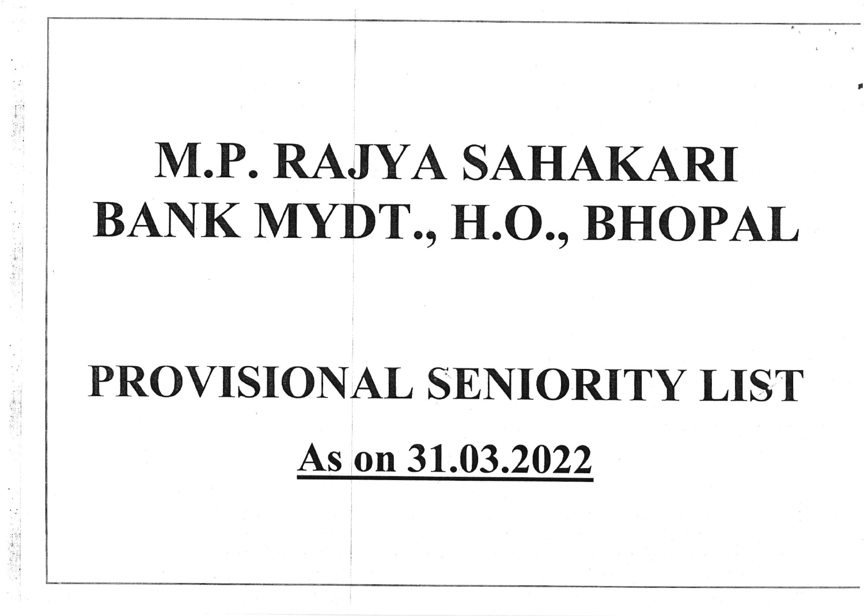# M.P. RAJYA SAHAKARI BANK MYDT., H.O., BHOPAL )

,

# PROVISIONAL SENIORITY LIST As on 31.03.2022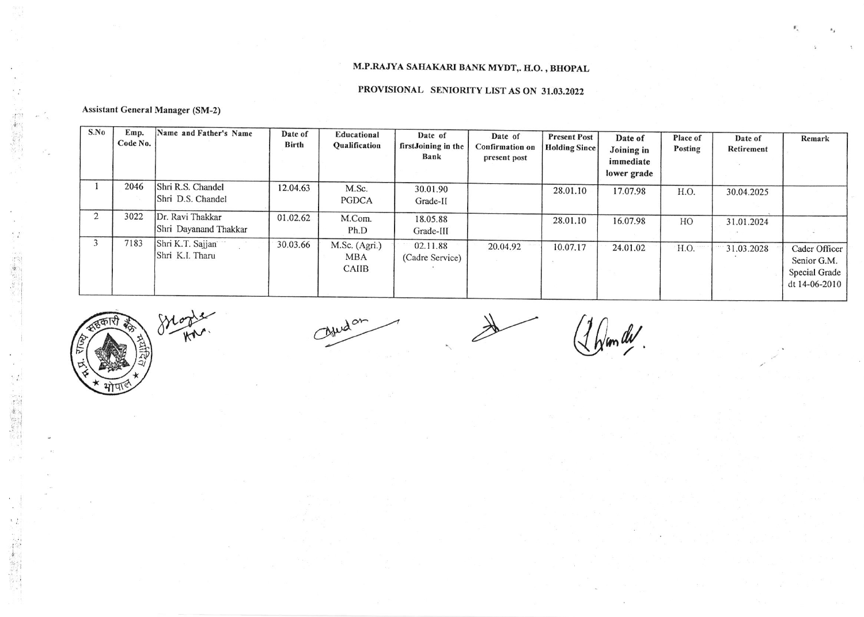### M.P.RAJYA SAHAKARI BANK MYDT,. H.O., BHOPAL

#### PROVISIONAL SENIORITY LIST AS ON 31.03.2022

#### **Assistant General Manager (SM-2)**

中国家

12 高度

(2) 事例

| S.No           | Emp.<br>Code No. | Name and Father's Name                    | Date of<br>Birth | Educational<br><b>Qualification</b>         | Date of<br>firstJoining in the<br>Bank | Date of<br><b>Confirmation on</b><br>present post | <b>Present Post</b><br><b>Holding Since</b> | Date of<br>Joining in<br>immediate<br>lower grade | Place of<br>Posting | Date of<br>Retirement | Remark                                                         |
|----------------|------------------|-------------------------------------------|------------------|---------------------------------------------|----------------------------------------|---------------------------------------------------|---------------------------------------------|---------------------------------------------------|---------------------|-----------------------|----------------------------------------------------------------|
|                | 2046             | Shri R.S. Chandel<br>Shri D.S. Chandel    | 12.04.63         | M.Sc.<br>PGDCA                              | 30.01.90<br>Grade-II                   |                                                   | 28.01.10                                    | 17.07.98                                          | H.O.                | 30.04.2025            |                                                                |
| $\overline{2}$ | 3022             | Dr. Ravi Thakkar<br>Shri Dayanand Thakkar | 01.02.62         | M.Com.<br>Ph.D                              | 18.05.88<br>Grade-III                  |                                                   | 28.01.10                                    | 16.07.98                                          | HO                  | 31.01.2024            |                                                                |
|                | 7183             | Shri K.T. Sajjan<br>Shri K.I. Tharu       | 30.03.66         | M.Sc. (Agri.)<br><b>MBA</b><br><b>CAIIB</b> | 02.11.88<br>(Cadre Service)            | 20.04.92                                          | 10.07.17                                    | 24.01.02                                          | H.O.                | 31.03.2028            | Cader Officer<br>Senior G.M.<br>Special Grade<br>dt 14-06-2010 |

Ajudan

(1 Dem de